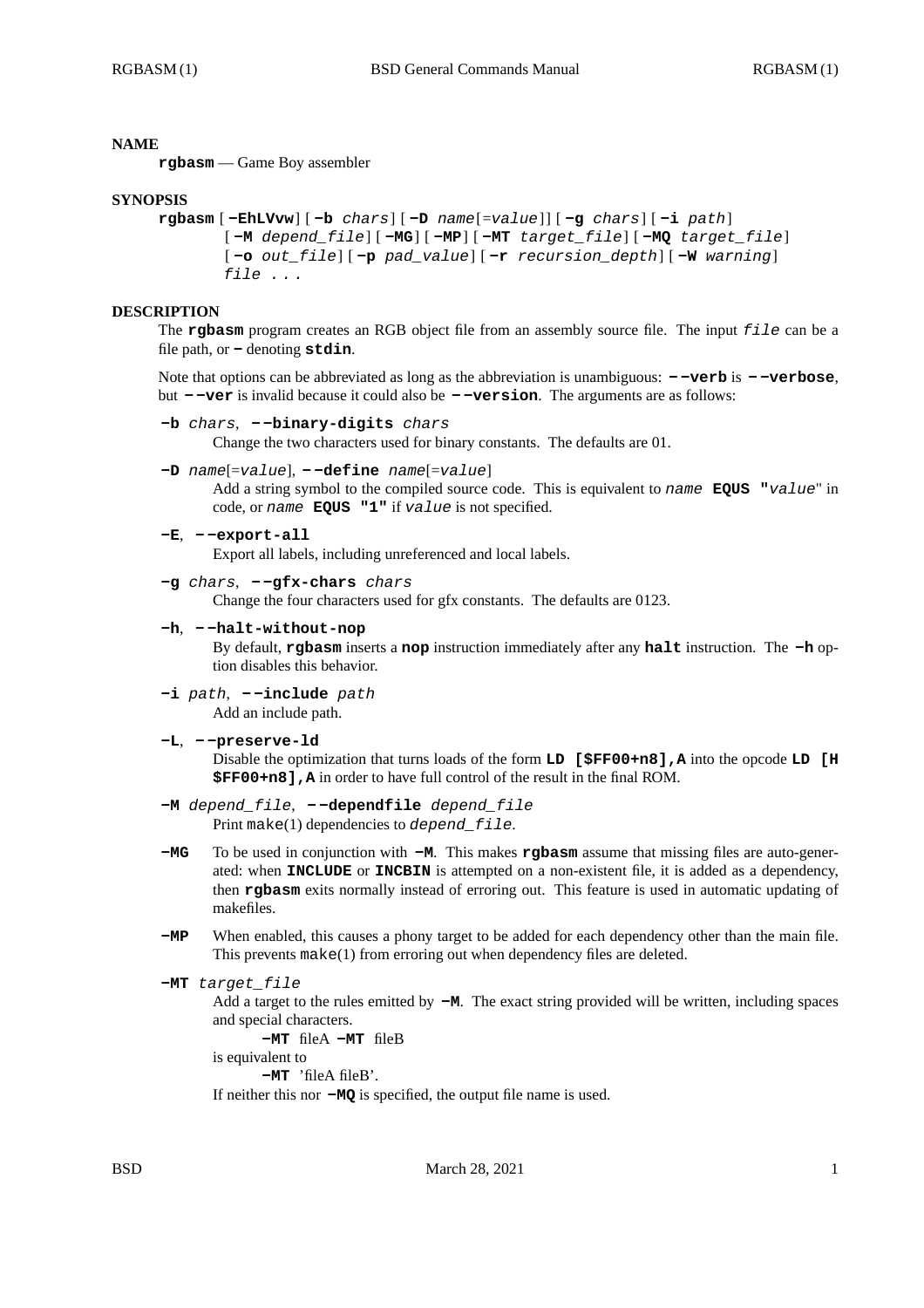# **NAME**

**rgbasm** — Game Boy assembler

# **SYNOPSIS**

```
rgbasm [ -EhLVvw] [ -b chars] [ -D name[=value] ] [ -g chars] [ -i path]
 [ -M depend_file] [ -MG] [ -MP] [ -MT target_file] [ -MQ target_file]
 [ -o out_file] [ -p pad_value] [ -r recursion_depth] [ -W warning]
file . . .
```
# **DESCRIPTION**

The **rgbasm** program creates an RGB object file from an assembly source file. The input *file* can be a file path, or **-** denoting **stdin**.

Note that options can be abbreviated as long as the abbreviation is unambiguous: **- -verb** is **- -verbose**, but **- -ver** is invalid because it could also be **- -version**. The arguments are as follows:

```
-b chars, - -binary-digits chars
```
Change the two characters used for binary constants. The defaults are 01.

```
-D name[=value], - -define name[=value]
```
Add a string symbol to the compiled source code. This is equivalent to *name* **EQUS "***value*" in code, or *name* **EQUS "1"** if *value* is not specified.

```
-E, - -export-all
```
Export all labels, including unreferenced and local labels.

```
-g chars, - -gfx-chars chars
```
Change the four characters used for gfx constants. The defaults are 0123.

**-h**, **- -halt-without-nop**

By default, **rgbasm** inserts a **nop** instruction immediately after any **halt** instruction. The **-h** option disables this behavior.

- **-i** *path*,  **-include** *path* Add an include path.
- **-L**,  **-preserve-ld**

Disable the optimization that turns loads of the form **LD [\$FF00+n8],A** into the opcode **LD [H \$FF00+n8],A** in order to have full control of the result in the final ROM.

- **-M** *depend\_file*,  **-dependfile** *depend\_file* Print make(1) dependencies to *depend\_file*.
- **-MG** To be used in conjunction with **-M**. This makes **rgbasm** assume that missing files are auto-generated: when **INCLUDE** or **INCBIN** is attempted on a non-existent file, it is added as a dependency, then **rgbasm** exits normally instead of erroring out. This feature is used in automatic updating of makefiles.
- **-MP** When enabled, this causes a phony target to be added for each dependency other than the main file. This prevents make(1) from erroring out when dependency files are deleted.

```
-MT target_file
```
Add a target to the rules emitted by **-M**. The exact string provided will be written, including spaces and special characters.

**-MT** fileA **-MT** fileB

is equivalent to

**-MT** 'fileA fileB'.

If neither this nor **-MQ** is specified, the output file name is used.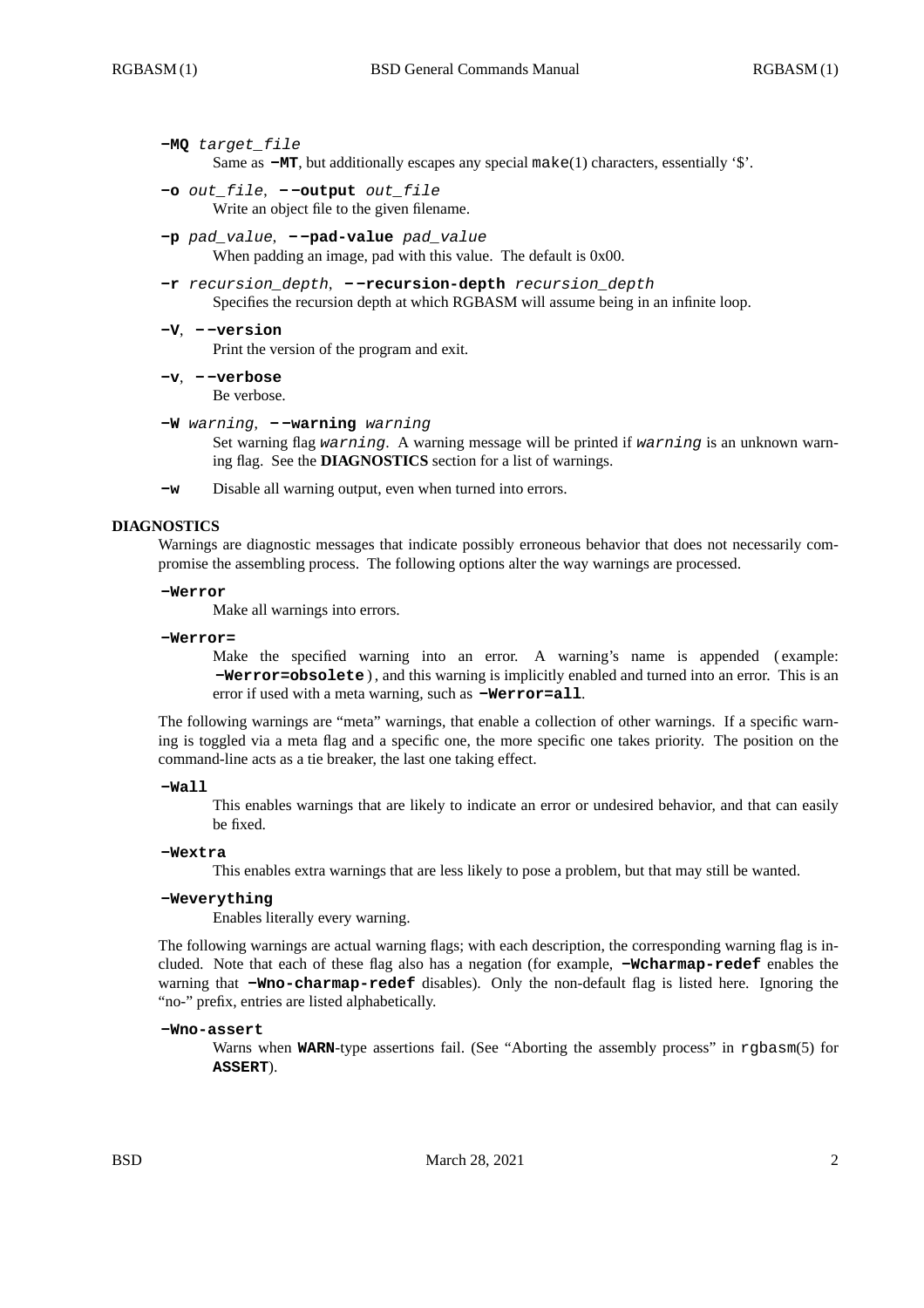### **-MQ** *target\_file*

Same as **-MT**, but additionally escapes any special make(1) characters, essentially '\$'.

- **-o** *out\_file*,  **-output** *out\_file* Write an object file to the given filename.
- **-p** *pad\_value*,  **-pad-value** *pad\_value* When padding an image, pad with this value. The default is  $0x00$ .
- **-r** *recursion\_depth*,  **-recursion-depth** *recursion\_depth* Specifies the recursion depth at which RGBASM will assume being in an infinite loop.
- **-V**,  **-version**

Print the version of the program and exit.

**-v**, **- -verbose** Be verbose.

**-W** *warning*, **- -warning** *warning*

Set warning flag *warning*. A warning message will be printed if *warning* is an unknown warning flag. See the **DIAGNOSTICS** section for a list of warnings.

**-w** Disable all warning output, even when turned into errors.

### **DIAGNOSTICS**

Warnings are diagnostic messages that indicate possibly erroneous behavior that does not necessarily compromise the assembling process. The following options alter the way warnings are processed.

#### **-Werror**

Make all warnings into errors.

#### **-Werror=**

Make the specified warning into an error. A warning's name is appended (example: **-Werror=obsolete** ) , and this warning is implicitly enabled and turned into an error. This is an error if used with a meta warning, such as **-Werror=all**.

The following warnings are "meta" warnings, that enable a collection of other warnings. If a specific warning is toggled via a meta flag and a specific one, the more specific one takes priority. The position on the command-line acts as a tie breaker, the last one taking effect.

#### **-Wall**

This enables warnings that are likely to indicate an error or undesired behavior, and that can easily be fixed.

### **-Wextra**

This enables extra warnings that are less likely to pose a problem, but that may still be wanted.

# **-Weverything**

Enables literally every warning.

The following warnings are actual warning flags; with each description, the corresponding warning flag is included. Note that each of these flag also has a negation (for example, **-Wcharmap-redef** enables the warning that **-Wno-charmap-redef** disables). Only the non-default flag is listed here. Ignoring the "no-" prefix, entries are listed alphabetically.

#### **-Wno-assert**

Warns when **WARN**-type assertions fail. (See "Aborting the assembly process" in rgbasm(5) for **ASSERT**).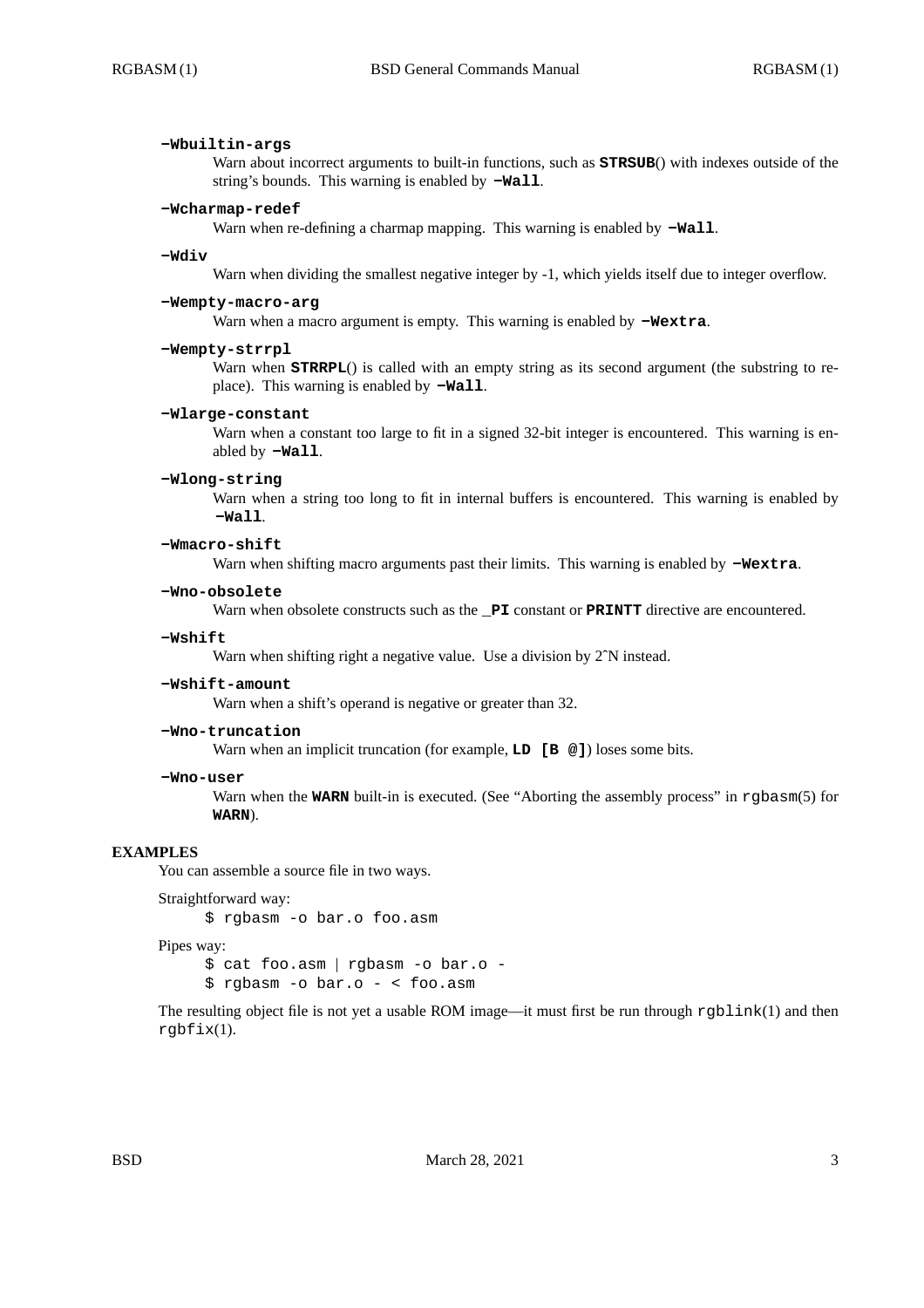### **-Wbuiltin-args**

Warn about incorrect arguments to built-in functions, such as **STRSUB**() with indexes outside of the string's bounds. This warning is enabled by **-Wall**.

#### **-Wcharmap-redef**

Warn when re-defining a charmap mapping. This warning is enabled by **-Wall**.

#### **-Wdiv**

Warn when dividing the smallest negative integer by -1, which yields itself due to integer overflow.

# **-Wempty-macro-arg**

Warn when a macro argument is empty. This warning is enabled by **-Wextra**.

#### **-Wempty-strrpl**

Warn when **STRRPL**() is called with an empty string as its second argument (the substring to replace). This warning is enabled by **-Wall**.

#### **-Wlarge-constant**

Warn when a constant too large to fit in a signed 32-bit integer is encountered. This warning is enabled by **-Wall**.

#### **-Wlong-string**

Warn when a string too long to fit in internal buffers is encountered. This warning is enabled by **-Wall**.

### **-Wmacro-shift**

Warn when shifting macro arguments past their limits. This warning is enabled by  $-\text{Wextra}$ .

#### **-Wno-obsolete**

Warn when obsolete constructs such as the **PI** constant or **PRINTT** directive are encountered.

#### **-Wshift**

Warn when shifting right a negative value. Use a division by 2<sup>^</sup>N instead.

### **-Wshift-amount**

Warn when a shift's operand is negative or greater than 32.

### **-Wno-truncation**

Warn when an implicit truncation (for example, **LD** [**B**  $\textcircled{a}$ ]) loses some bits.

### **-Wno-user**

Warn when the **WARN** built-in is executed. (See "Aborting the assembly process" in rgbasm(5) for **WARN**).

### **EXAMPLES**

You can assemble a source file in two ways.

```
Straightforward way:
```
\$ rgbasm -o bar.o foo.asm

### Pipes way:

\$ cat foo.asm | rgbasm -o bar.o - \$ rgbasm -o bar.o - < foo.asm

The resulting object file is not yet a usable ROM image—it must first be run through rgblink(1) and then rgbfix(1).